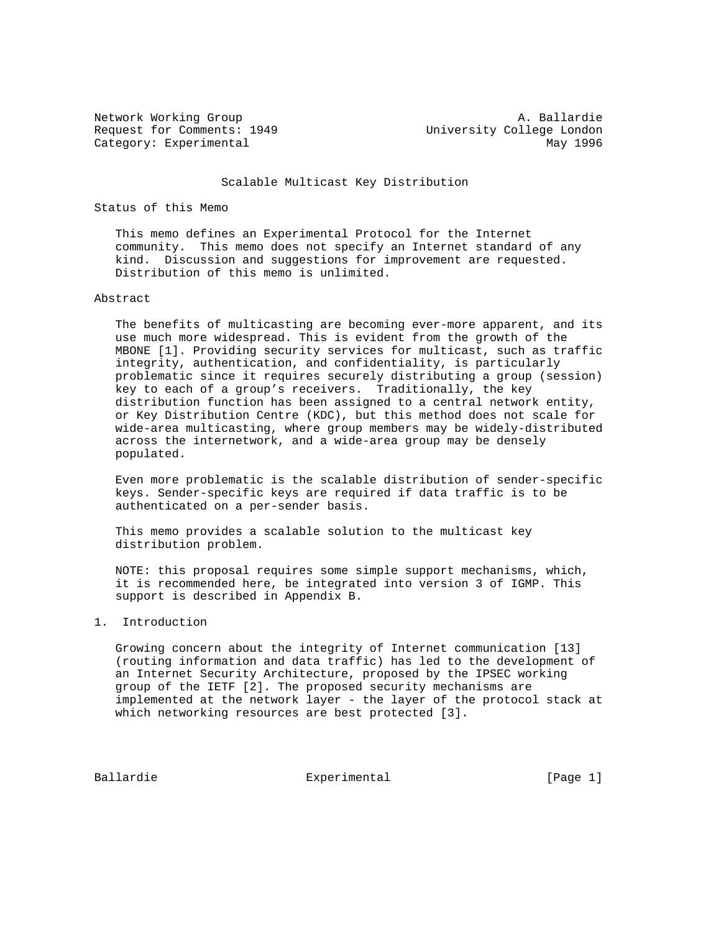Request for Comments: 1949 University College London Category: Experimental May 1996

Network Working Group and A. Ballardie

#### Scalable Multicast Key Distribution

# Status of this Memo

 This memo defines an Experimental Protocol for the Internet community. This memo does not specify an Internet standard of any kind. Discussion and suggestions for improvement are requested. Distribution of this memo is unlimited.

# Abstract

 The benefits of multicasting are becoming ever-more apparent, and its use much more widespread. This is evident from the growth of the MBONE [1]. Providing security services for multicast, such as traffic integrity, authentication, and confidentiality, is particularly problematic since it requires securely distributing a group (session) key to each of a group's receivers. Traditionally, the key distribution function has been assigned to a central network entity, or Key Distribution Centre (KDC), but this method does not scale for wide-area multicasting, where group members may be widely-distributed across the internetwork, and a wide-area group may be densely populated.

 Even more problematic is the scalable distribution of sender-specific keys. Sender-specific keys are required if data traffic is to be authenticated on a per-sender basis.

 This memo provides a scalable solution to the multicast key distribution problem.

 NOTE: this proposal requires some simple support mechanisms, which, it is recommended here, be integrated into version 3 of IGMP. This support is described in Appendix B.

### 1. Introduction

 Growing concern about the integrity of Internet communication [13] (routing information and data traffic) has led to the development of an Internet Security Architecture, proposed by the IPSEC working group of the IETF [2]. The proposed security mechanisms are implemented at the network layer - the layer of the protocol stack at which networking resources are best protected [3].

Ballardie **Experimental** Experimental [Page 1]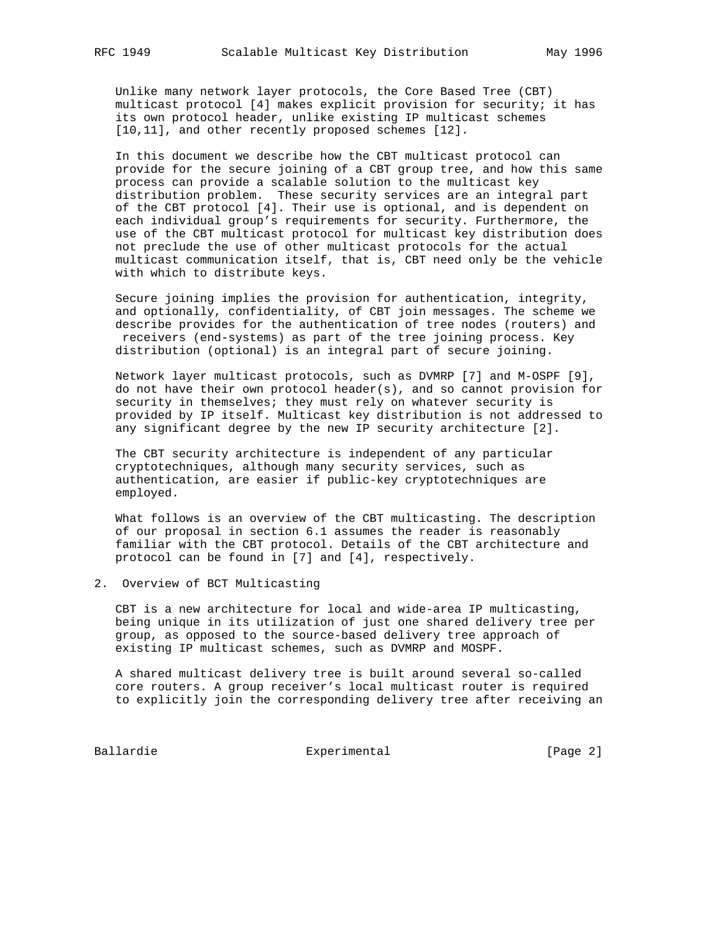Unlike many network layer protocols, the Core Based Tree (CBT) multicast protocol [4] makes explicit provision for security; it has its own protocol header, unlike existing IP multicast schemes [10,11], and other recently proposed schemes [12].

 In this document we describe how the CBT multicast protocol can provide for the secure joining of a CBT group tree, and how this same process can provide a scalable solution to the multicast key distribution problem. These security services are an integral part of the CBT protocol [4]. Their use is optional, and is dependent on each individual group's requirements for security. Furthermore, the use of the CBT multicast protocol for multicast key distribution does not preclude the use of other multicast protocols for the actual multicast communication itself, that is, CBT need only be the vehicle with which to distribute keys.

 Secure joining implies the provision for authentication, integrity, and optionally, confidentiality, of CBT join messages. The scheme we describe provides for the authentication of tree nodes (routers) and receivers (end-systems) as part of the tree joining process. Key distribution (optional) is an integral part of secure joining.

 Network layer multicast protocols, such as DVMRP [7] and M-OSPF [9], do not have their own protocol header(s), and so cannot provision for security in themselves; they must rely on whatever security is provided by IP itself. Multicast key distribution is not addressed to any significant degree by the new IP security architecture [2].

 The CBT security architecture is independent of any particular cryptotechniques, although many security services, such as authentication, are easier if public-key cryptotechniques are employed.

 What follows is an overview of the CBT multicasting. The description of our proposal in section 6.1 assumes the reader is reasonably familiar with the CBT protocol. Details of the CBT architecture and protocol can be found in [7] and [4], respectively.

2. Overview of BCT Multicasting

 CBT is a new architecture for local and wide-area IP multicasting, being unique in its utilization of just one shared delivery tree per group, as opposed to the source-based delivery tree approach of existing IP multicast schemes, such as DVMRP and MOSPF.

 A shared multicast delivery tree is built around several so-called core routers. A group receiver's local multicast router is required to explicitly join the corresponding delivery tree after receiving an

Ballardie Experimental Experimental [Page 2]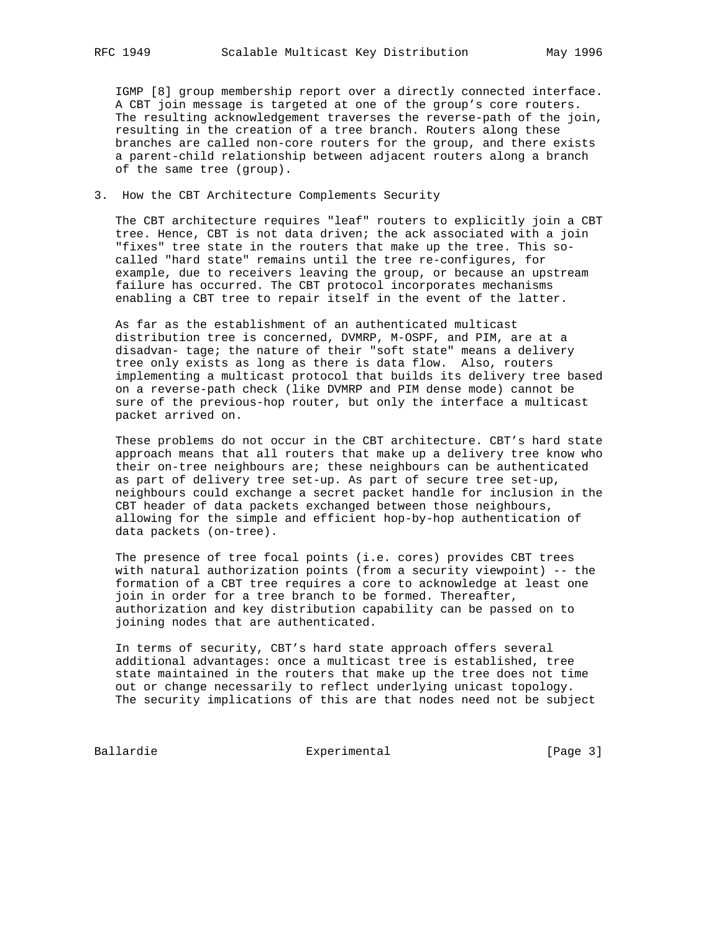IGMP [8] group membership report over a directly connected interface. A CBT join message is targeted at one of the group's core routers. The resulting acknowledgement traverses the reverse-path of the join, resulting in the creation of a tree branch. Routers along these branches are called non-core routers for the group, and there exists a parent-child relationship between adjacent routers along a branch of the same tree (group).

### 3. How the CBT Architecture Complements Security

 The CBT architecture requires "leaf" routers to explicitly join a CBT tree. Hence, CBT is not data driven; the ack associated with a join "fixes" tree state in the routers that make up the tree. This so called "hard state" remains until the tree re-configures, for example, due to receivers leaving the group, or because an upstream failure has occurred. The CBT protocol incorporates mechanisms enabling a CBT tree to repair itself in the event of the latter.

 As far as the establishment of an authenticated multicast distribution tree is concerned, DVMRP, M-OSPF, and PIM, are at a disadvan- tage; the nature of their "soft state" means a delivery tree only exists as long as there is data flow. Also, routers implementing a multicast protocol that builds its delivery tree based on a reverse-path check (like DVMRP and PIM dense mode) cannot be sure of the previous-hop router, but only the interface a multicast packet arrived on.

 These problems do not occur in the CBT architecture. CBT's hard state approach means that all routers that make up a delivery tree know who their on-tree neighbours are; these neighbours can be authenticated as part of delivery tree set-up. As part of secure tree set-up, neighbours could exchange a secret packet handle for inclusion in the CBT header of data packets exchanged between those neighbours, allowing for the simple and efficient hop-by-hop authentication of data packets (on-tree).

 The presence of tree focal points (i.e. cores) provides CBT trees with natural authorization points (from a security viewpoint) -- the formation of a CBT tree requires a core to acknowledge at least one join in order for a tree branch to be formed. Thereafter, authorization and key distribution capability can be passed on to joining nodes that are authenticated.

 In terms of security, CBT's hard state approach offers several additional advantages: once a multicast tree is established, tree state maintained in the routers that make up the tree does not time out or change necessarily to reflect underlying unicast topology. The security implications of this are that nodes need not be subject

Ballardie Experimental Experimental [Page 3]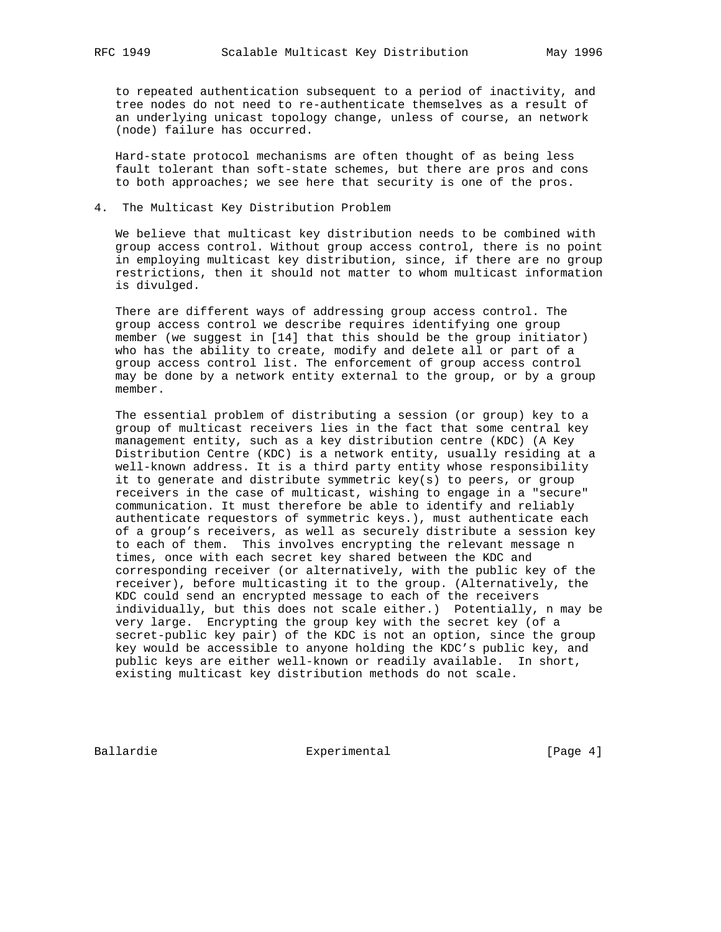to repeated authentication subsequent to a period of inactivity, and tree nodes do not need to re-authenticate themselves as a result of an underlying unicast topology change, unless of course, an network (node) failure has occurred.

 Hard-state protocol mechanisms are often thought of as being less fault tolerant than soft-state schemes, but there are pros and cons to both approaches; we see here that security is one of the pros.

# 4. The Multicast Key Distribution Problem

 We believe that multicast key distribution needs to be combined with group access control. Without group access control, there is no point in employing multicast key distribution, since, if there are no group restrictions, then it should not matter to whom multicast information is divulged.

 There are different ways of addressing group access control. The group access control we describe requires identifying one group member (we suggest in [14] that this should be the group initiator) who has the ability to create, modify and delete all or part of a group access control list. The enforcement of group access control may be done by a network entity external to the group, or by a group member.

 The essential problem of distributing a session (or group) key to a group of multicast receivers lies in the fact that some central key management entity, such as a key distribution centre (KDC) (A Key Distribution Centre (KDC) is a network entity, usually residing at a well-known address. It is a third party entity whose responsibility it to generate and distribute symmetric key(s) to peers, or group receivers in the case of multicast, wishing to engage in a "secure" communication. It must therefore be able to identify and reliably authenticate requestors of symmetric keys.), must authenticate each of a group's receivers, as well as securely distribute a session key to each of them. This involves encrypting the relevant message n times, once with each secret key shared between the KDC and corresponding receiver (or alternatively, with the public key of the receiver), before multicasting it to the group. (Alternatively, the KDC could send an encrypted message to each of the receivers individually, but this does not scale either.) Potentially, n may be very large. Encrypting the group key with the secret key (of a secret-public key pair) of the KDC is not an option, since the group key would be accessible to anyone holding the KDC's public key, and public keys are either well-known or readily available. In short, existing multicast key distribution methods do not scale.

Ballardie Experimental Experimental [Page 4]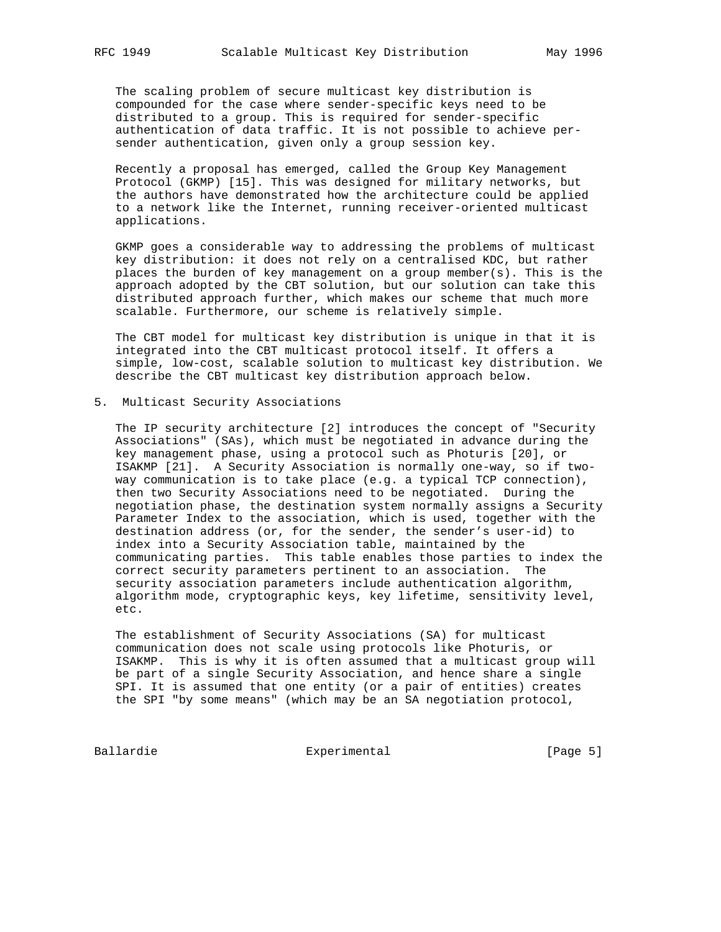The scaling problem of secure multicast key distribution is compounded for the case where sender-specific keys need to be distributed to a group. This is required for sender-specific authentication of data traffic. It is not possible to achieve per sender authentication, given only a group session key.

 Recently a proposal has emerged, called the Group Key Management Protocol (GKMP) [15]. This was designed for military networks, but the authors have demonstrated how the architecture could be applied to a network like the Internet, running receiver-oriented multicast applications.

 GKMP goes a considerable way to addressing the problems of multicast key distribution: it does not rely on a centralised KDC, but rather places the burden of key management on a group member(s). This is the approach adopted by the CBT solution, but our solution can take this distributed approach further, which makes our scheme that much more scalable. Furthermore, our scheme is relatively simple.

 The CBT model for multicast key distribution is unique in that it is integrated into the CBT multicast protocol itself. It offers a simple, low-cost, scalable solution to multicast key distribution. We describe the CBT multicast key distribution approach below.

5. Multicast Security Associations

 The IP security architecture [2] introduces the concept of "Security Associations" (SAs), which must be negotiated in advance during the key management phase, using a protocol such as Photuris [20], or ISAKMP [21]. A Security Association is normally one-way, so if two way communication is to take place (e.g. a typical TCP connection), then two Security Associations need to be negotiated. During the negotiation phase, the destination system normally assigns a Security Parameter Index to the association, which is used, together with the destination address (or, for the sender, the sender's user-id) to index into a Security Association table, maintained by the communicating parties. This table enables those parties to index the correct security parameters pertinent to an association. The security association parameters include authentication algorithm, algorithm mode, cryptographic keys, key lifetime, sensitivity level, etc.

 The establishment of Security Associations (SA) for multicast communication does not scale using protocols like Photuris, or ISAKMP. This is why it is often assumed that a multicast group will be part of a single Security Association, and hence share a single SPI. It is assumed that one entity (or a pair of entities) creates the SPI "by some means" (which may be an SA negotiation protocol,

Ballardie Experimental Experimental [Page 5]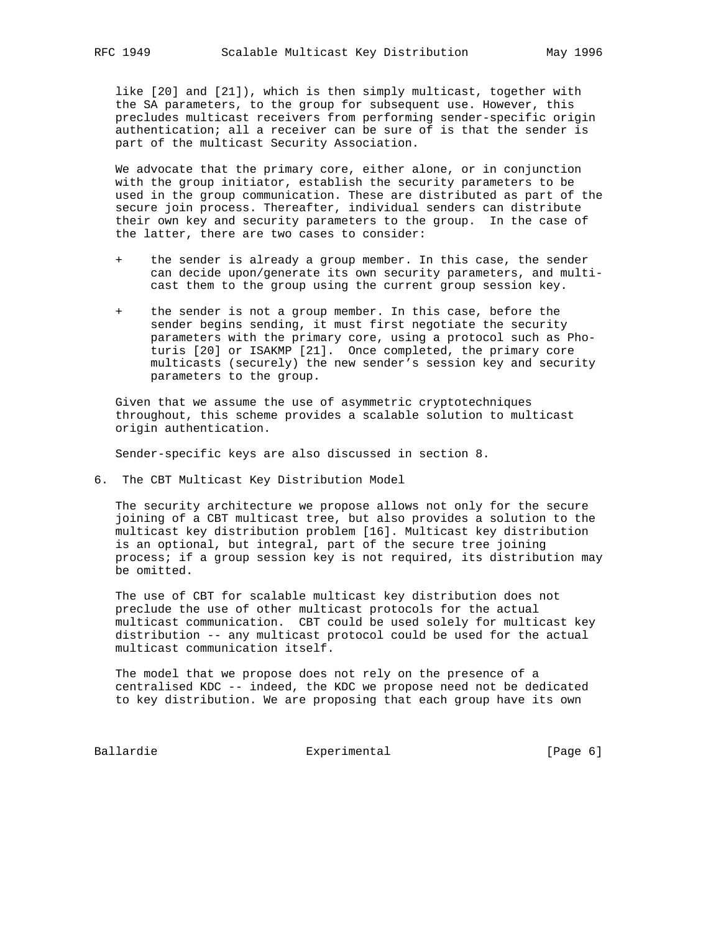like [20] and [21]), which is then simply multicast, together with the SA parameters, to the group for subsequent use. However, this precludes multicast receivers from performing sender-specific origin authentication; all a receiver can be sure of is that the sender is part of the multicast Security Association.

 We advocate that the primary core, either alone, or in conjunction with the group initiator, establish the security parameters to be used in the group communication. These are distributed as part of the secure join process. Thereafter, individual senders can distribute their own key and security parameters to the group. In the case of the latter, there are two cases to consider:

- the sender is already a group member. In this case, the sender can decide upon/generate its own security parameters, and multi cast them to the group using the current group session key.
- + the sender is not a group member. In this case, before the sender begins sending, it must first negotiate the security parameters with the primary core, using a protocol such as Pho turis [20] or ISAKMP [21]. Once completed, the primary core multicasts (securely) the new sender's session key and security parameters to the group.

 Given that we assume the use of asymmetric cryptotechniques throughout, this scheme provides a scalable solution to multicast origin authentication.

Sender-specific keys are also discussed in section 8.

6. The CBT Multicast Key Distribution Model

 The security architecture we propose allows not only for the secure joining of a CBT multicast tree, but also provides a solution to the multicast key distribution problem [16]. Multicast key distribution is an optional, but integral, part of the secure tree joining process; if a group session key is not required, its distribution may be omitted.

 The use of CBT for scalable multicast key distribution does not preclude the use of other multicast protocols for the actual multicast communication. CBT could be used solely for multicast key distribution -- any multicast protocol could be used for the actual multicast communication itself.

 The model that we propose does not rely on the presence of a centralised KDC -- indeed, the KDC we propose need not be dedicated to key distribution. We are proposing that each group have its own

Ballardie **Experimental** Experimental [Page 6]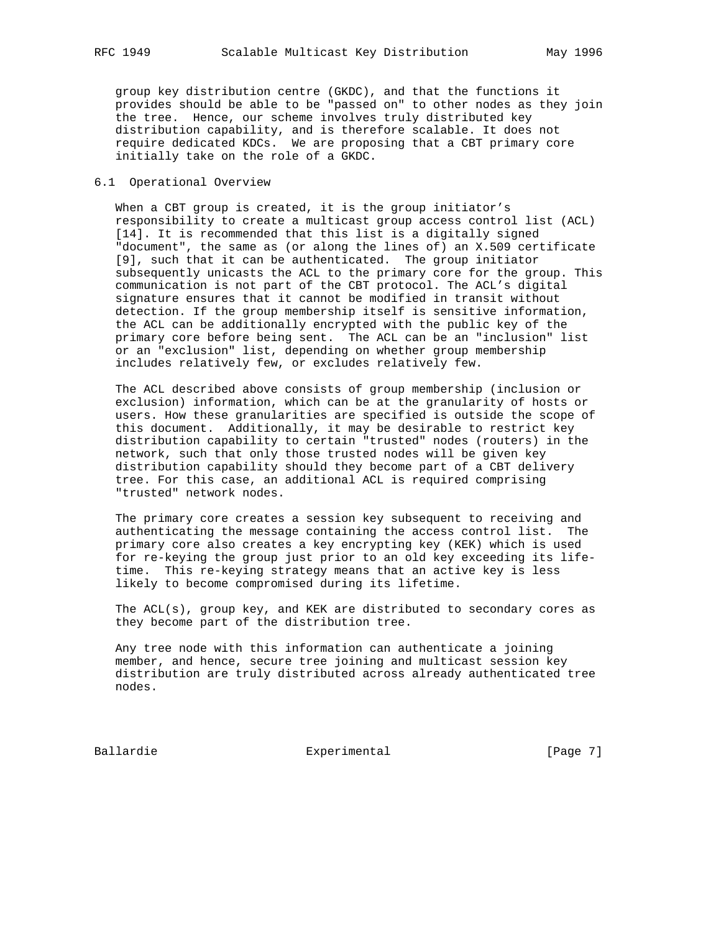group key distribution centre (GKDC), and that the functions it provides should be able to be "passed on" to other nodes as they join the tree. Hence, our scheme involves truly distributed key distribution capability, and is therefore scalable. It does not require dedicated KDCs. We are proposing that a CBT primary core initially take on the role of a GKDC.

# 6.1 Operational Overview

When a CBT group is created, it is the group initiator's responsibility to create a multicast group access control list (ACL) [14]. It is recommended that this list is a digitally signed "document", the same as (or along the lines of) an X.509 certificate [9], such that it can be authenticated. The group initiator subsequently unicasts the ACL to the primary core for the group. This communication is not part of the CBT protocol. The ACL's digital signature ensures that it cannot be modified in transit without detection. If the group membership itself is sensitive information, the ACL can be additionally encrypted with the public key of the primary core before being sent. The ACL can be an "inclusion" list or an "exclusion" list, depending on whether group membership includes relatively few, or excludes relatively few.

 The ACL described above consists of group membership (inclusion or exclusion) information, which can be at the granularity of hosts or users. How these granularities are specified is outside the scope of this document. Additionally, it may be desirable to restrict key distribution capability to certain "trusted" nodes (routers) in the network, such that only those trusted nodes will be given key distribution capability should they become part of a CBT delivery tree. For this case, an additional ACL is required comprising "trusted" network nodes.

 The primary core creates a session key subsequent to receiving and authenticating the message containing the access control list. The primary core also creates a key encrypting key (KEK) which is used for re-keying the group just prior to an old key exceeding its life time. This re-keying strategy means that an active key is less likely to become compromised during its lifetime.

 The ACL(s), group key, and KEK are distributed to secondary cores as they become part of the distribution tree.

 Any tree node with this information can authenticate a joining member, and hence, secure tree joining and multicast session key distribution are truly distributed across already authenticated tree nodes.

Ballardie **Experimental** Experimental [Page 7]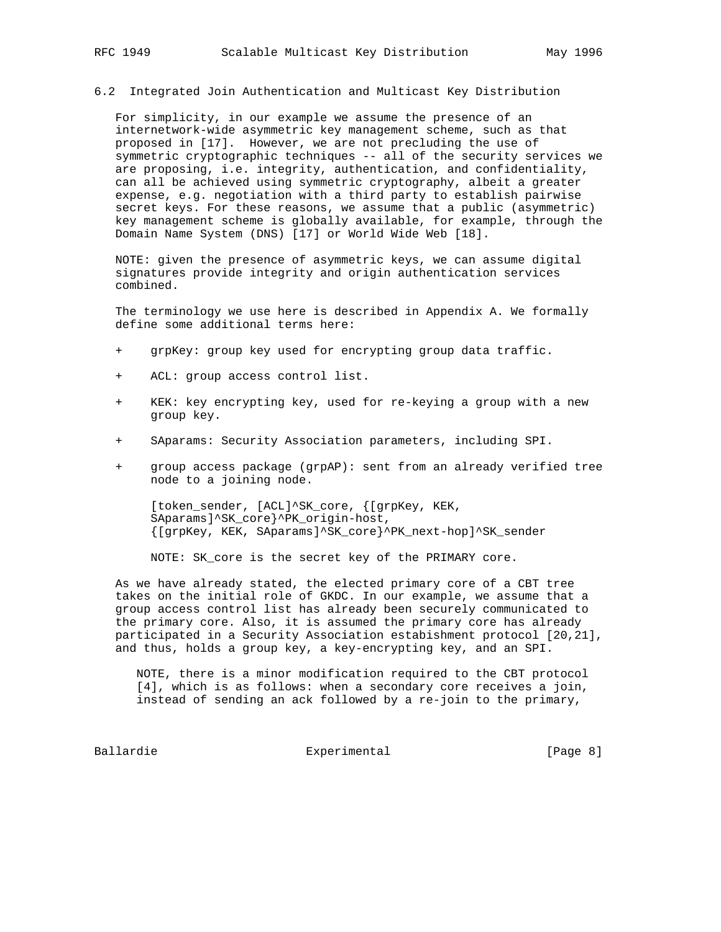#### 6.2 Integrated Join Authentication and Multicast Key Distribution

 For simplicity, in our example we assume the presence of an internetwork-wide asymmetric key management scheme, such as that proposed in [17]. However, we are not precluding the use of symmetric cryptographic techniques -- all of the security services we are proposing, i.e. integrity, authentication, and confidentiality, can all be achieved using symmetric cryptography, albeit a greater expense, e.g. negotiation with a third party to establish pairwise secret keys. For these reasons, we assume that a public (asymmetric) key management scheme is globally available, for example, through the Domain Name System (DNS) [17] or World Wide Web [18].

 NOTE: given the presence of asymmetric keys, we can assume digital signatures provide integrity and origin authentication services combined.

 The terminology we use here is described in Appendix A. We formally define some additional terms here:

- + grpKey: group key used for encrypting group data traffic.
- + ACL: group access control list.
- + KEK: key encrypting key, used for re-keying a group with a new group key.
- + SAparams: Security Association parameters, including SPI.
- + group access package (grpAP): sent from an already verified tree node to a joining node.

[token\_sender, [ACL]^SK\_core, {[grpKey, KEK, SAparams]^SK\_core}^PK\_origin-host, {[grpKey, KEK, SAparams]^SK\_core}^PK\_next-hop]^SK\_sender

NOTE: SK\_core is the secret key of the PRIMARY core.

 As we have already stated, the elected primary core of a CBT tree takes on the initial role of GKDC. In our example, we assume that a group access control list has already been securely communicated to the primary core. Also, it is assumed the primary core has already participated in a Security Association estabishment protocol [20,21], and thus, holds a group key, a key-encrypting key, and an SPI.

 NOTE, there is a minor modification required to the CBT protocol [4], which is as follows: when a secondary core receives a join, instead of sending an ack followed by a re-join to the primary,

Ballardie **Experimental** Experimental [Page 8]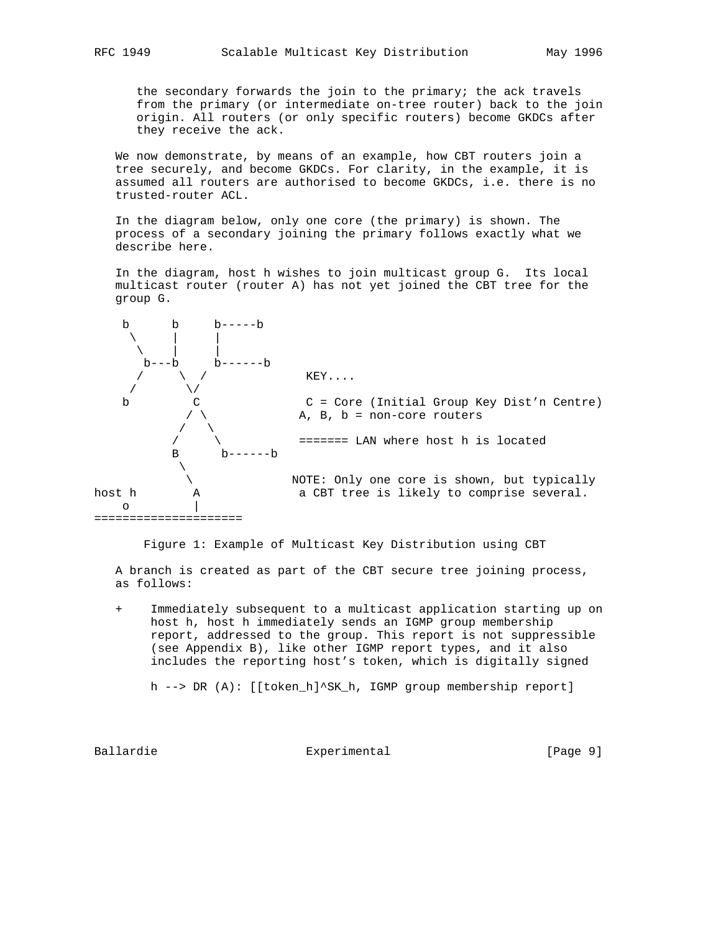the secondary forwards the join to the primary; the ack travels from the primary (or intermediate on-tree router) back to the join origin. All routers (or only specific routers) become GKDCs after they receive the ack.

 We now demonstrate, by means of an example, how CBT routers join a tree securely, and become GKDCs. For clarity, in the example, it is assumed all routers are authorised to become GKDCs, i.e. there is no trusted-router ACL.

 In the diagram below, only one core (the primary) is shown. The process of a secondary joining the primary follows exactly what we describe here.

 In the diagram, host h wishes to join multicast group G. Its local multicast router (router A) has not yet joined the CBT tree for the group G.



Figure 1: Example of Multicast Key Distribution using CBT

 A branch is created as part of the CBT secure tree joining process, as follows:

 + Immediately subsequent to a multicast application starting up on host h, host h immediately sends an IGMP group membership report, addressed to the group. This report is not suppressible (see Appendix B), like other IGMP report types, and it also includes the reporting host's token, which is digitally signed

h --> DR (A): [[token\_h]^SK\_h, IGMP group membership report]

Ballardie 1988 Experimental 1988 (Page 9)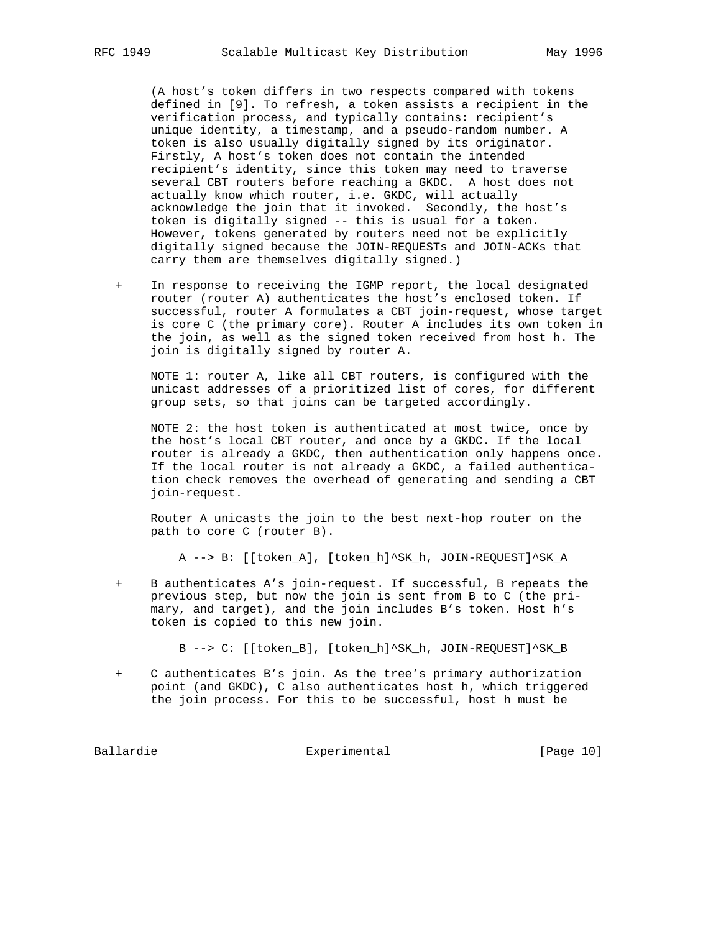(A host's token differs in two respects compared with tokens defined in [9]. To refresh, a token assists a recipient in the verification process, and typically contains: recipient's unique identity, a timestamp, and a pseudo-random number. A token is also usually digitally signed by its originator. Firstly, A host's token does not contain the intended recipient's identity, since this token may need to traverse several CBT routers before reaching a GKDC. A host does not actually know which router, i.e. GKDC, will actually acknowledge the join that it invoked. Secondly, the host's token is digitally signed -- this is usual for a token. However, tokens generated by routers need not be explicitly digitally signed because the JOIN-REQUESTs and JOIN-ACKs that carry them are themselves digitally signed.)

 + In response to receiving the IGMP report, the local designated router (router A) authenticates the host's enclosed token. If successful, router A formulates a CBT join-request, whose target is core C (the primary core). Router A includes its own token in the join, as well as the signed token received from host h. The join is digitally signed by router A.

 NOTE 1: router A, like all CBT routers, is configured with the unicast addresses of a prioritized list of cores, for different group sets, so that joins can be targeted accordingly.

 NOTE 2: the host token is authenticated at most twice, once by the host's local CBT router, and once by a GKDC. If the local router is already a GKDC, then authentication only happens once. If the local router is not already a GKDC, a failed authentica tion check removes the overhead of generating and sending a CBT join-request.

 Router A unicasts the join to the best next-hop router on the path to core C (router B).

A --> B: [[token\_A], [token\_h]^SK\_h, JOIN-REQUEST]^SK\_A

 + B authenticates A's join-request. If successful, B repeats the previous step, but now the join is sent from B to C (the pri mary, and target), and the join includes B's token. Host h's token is copied to this new join.

B --> C: [[token\_B], [token\_h]^SK\_h, JOIN-REQUEST]^SK\_B

 + C authenticates B's join. As the tree's primary authorization point (and GKDC), C also authenticates host h, which triggered the join process. For this to be successful, host h must be

Ballardie Experimental [Page 10]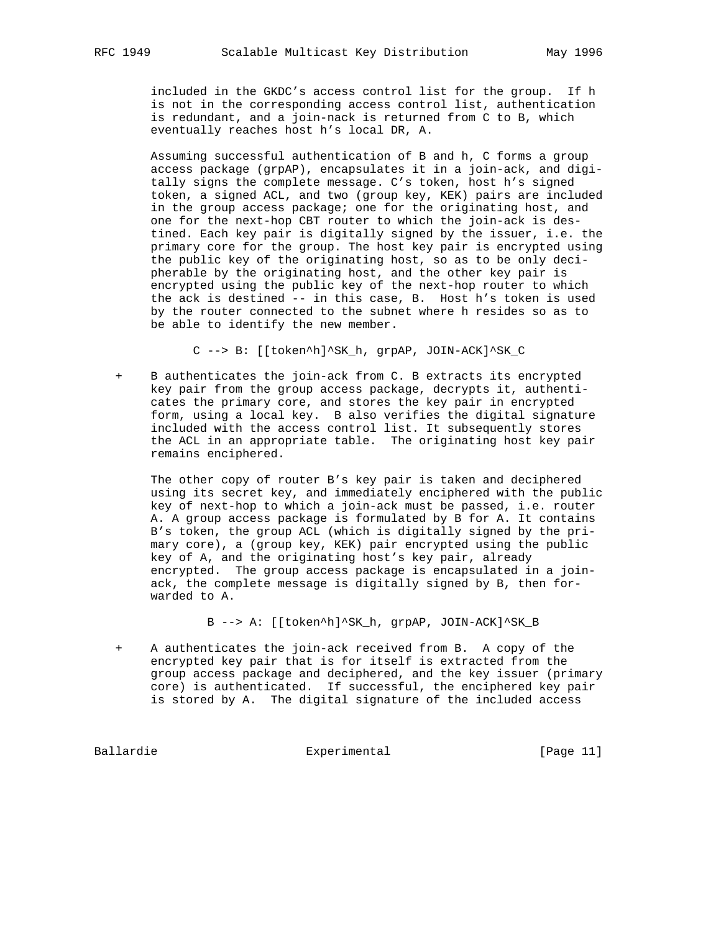included in the GKDC's access control list for the group. If h is not in the corresponding access control list, authentication is redundant, and a join-nack is returned from C to B, which eventually reaches host h's local DR, A.

 Assuming successful authentication of B and h, C forms a group access package (grpAP), encapsulates it in a join-ack, and digi tally signs the complete message. C's token, host h's signed token, a signed ACL, and two (group key, KEK) pairs are included in the group access package; one for the originating host, and one for the next-hop CBT router to which the join-ack is des tined. Each key pair is digitally signed by the issuer, i.e. the primary core for the group. The host key pair is encrypted using the public key of the originating host, so as to be only deci pherable by the originating host, and the other key pair is encrypted using the public key of the next-hop router to which the ack is destined -- in this case, B. Host h's token is used by the router connected to the subnet where h resides so as to be able to identify the new member.

C --> B: [[token^h]^SK\_h, grpAP, JOIN-ACK]^SK\_C

 + B authenticates the join-ack from C. B extracts its encrypted key pair from the group access package, decrypts it, authenti cates the primary core, and stores the key pair in encrypted form, using a local key. B also verifies the digital signature included with the access control list. It subsequently stores the ACL in an appropriate table. The originating host key pair remains enciphered.

 The other copy of router B's key pair is taken and deciphered using its secret key, and immediately enciphered with the public key of next-hop to which a join-ack must be passed, i.e. router A. A group access package is formulated by B for A. It contains B's token, the group ACL (which is digitally signed by the pri mary core), a (group key, KEK) pair encrypted using the public key of A, and the originating host's key pair, already encrypted. The group access package is encapsulated in a join ack, the complete message is digitally signed by B, then for warded to A.

B --> A: [[token^h]^SK\_h, grpAP, JOIN-ACK]^SK\_B

A authenticates the join-ack received from B. A copy of the encrypted key pair that is for itself is extracted from the group access package and deciphered, and the key issuer (primary core) is authenticated. If successful, the enciphered key pair is stored by A. The digital signature of the included access

Ballardie Experimental [Page 11]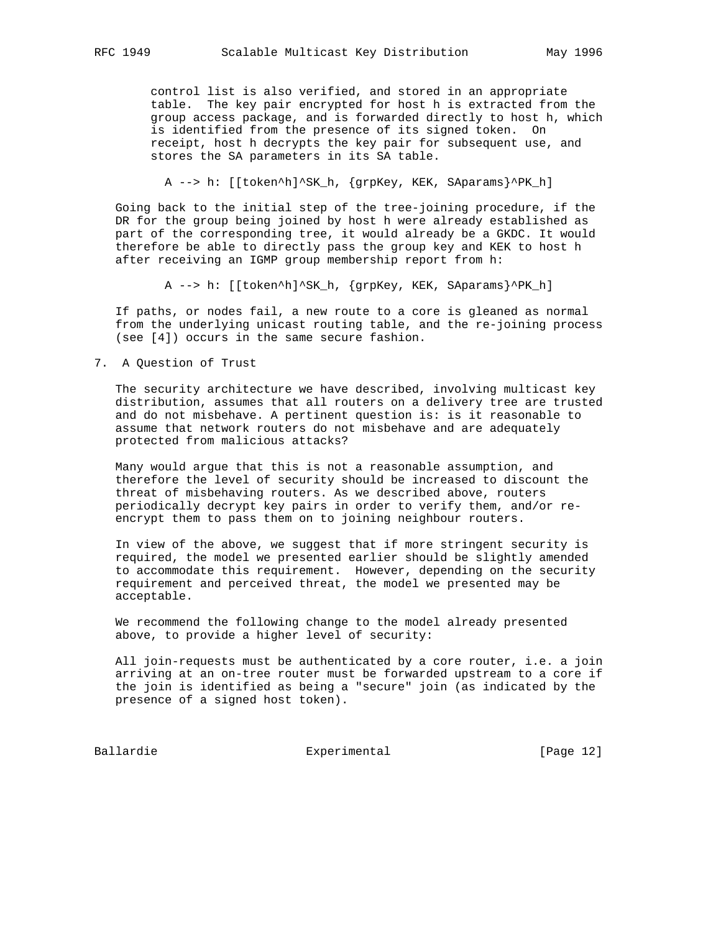control list is also verified, and stored in an appropriate table. The key pair encrypted for host h is extracted from the group access package, and is forwarded directly to host h, which is identified from the presence of its signed token. On receipt, host h decrypts the key pair for subsequent use, and stores the SA parameters in its SA table.

A --> h: [[token^h]^SK\_h, {grpKey, KEK, SAparams}^PK\_h]

 Going back to the initial step of the tree-joining procedure, if the DR for the group being joined by host h were already established as part of the corresponding tree, it would already be a GKDC. It would therefore be able to directly pass the group key and KEK to host h after receiving an IGMP group membership report from h:

A --> h: [[token^h]^SK h, {grpKey, KEK, SAparams}^PK h]

 If paths, or nodes fail, a new route to a core is gleaned as normal from the underlying unicast routing table, and the re-joining process (see [4]) occurs in the same secure fashion.

7. A Question of Trust

 The security architecture we have described, involving multicast key distribution, assumes that all routers on a delivery tree are trusted and do not misbehave. A pertinent question is: is it reasonable to assume that network routers do not misbehave and are adequately protected from malicious attacks?

 Many would argue that this is not a reasonable assumption, and therefore the level of security should be increased to discount the threat of misbehaving routers. As we described above, routers periodically decrypt key pairs in order to verify them, and/or re encrypt them to pass them on to joining neighbour routers.

 In view of the above, we suggest that if more stringent security is required, the model we presented earlier should be slightly amended to accommodate this requirement. However, depending on the security requirement and perceived threat, the model we presented may be acceptable.

 We recommend the following change to the model already presented above, to provide a higher level of security:

 All join-requests must be authenticated by a core router, i.e. a join arriving at an on-tree router must be forwarded upstream to a core if the join is identified as being a "secure" join (as indicated by the presence of a signed host token).

Ballardie Experimental Experimental [Page 12]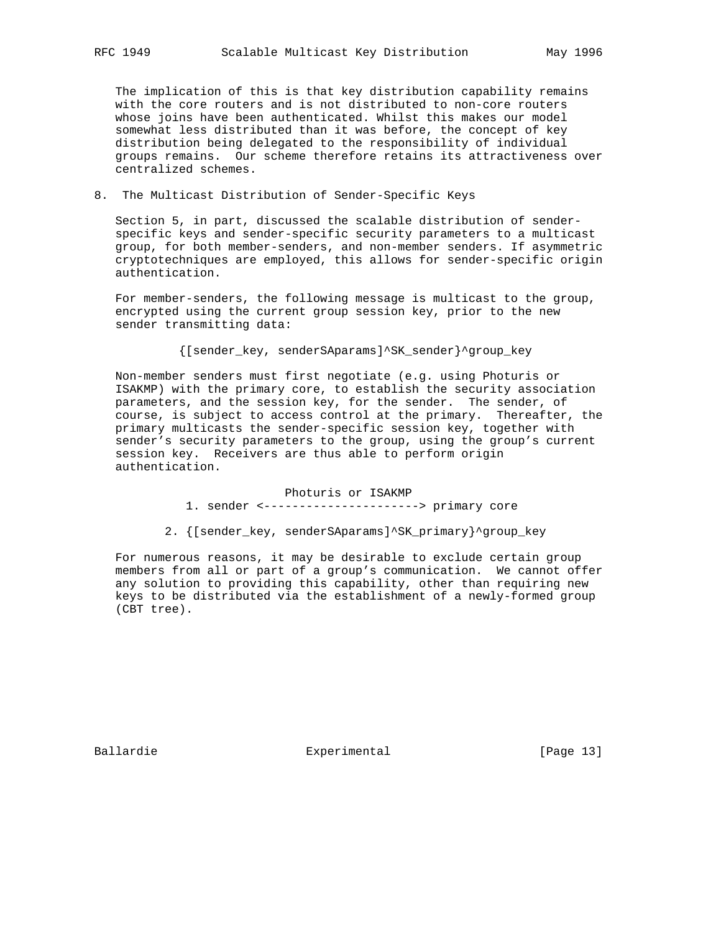The implication of this is that key distribution capability remains with the core routers and is not distributed to non-core routers whose joins have been authenticated. Whilst this makes our model somewhat less distributed than it was before, the concept of key distribution being delegated to the responsibility of individual groups remains. Our scheme therefore retains its attractiveness over centralized schemes.

# 8. The Multicast Distribution of Sender-Specific Keys

 Section 5, in part, discussed the scalable distribution of sender specific keys and sender-specific security parameters to a multicast group, for both member-senders, and non-member senders. If asymmetric cryptotechniques are employed, this allows for sender-specific origin authentication.

 For member-senders, the following message is multicast to the group, encrypted using the current group session key, prior to the new sender transmitting data:

{[sender\_key, senderSAparams]^SK\_sender}^group\_key

 Non-member senders must first negotiate (e.g. using Photuris or ISAKMP) with the primary core, to establish the security association parameters, and the session key, for the sender. The sender, of course, is subject to access control at the primary. Thereafter, the primary multicasts the sender-specific session key, together with sender's security parameters to the group, using the group's current session key. Receivers are thus able to perform origin authentication.

> Photuris or ISAKMP 1. sender <----------------------> primary core

2. {[sender\_key, senderSAparams]^SK\_primary}^group\_key

 For numerous reasons, it may be desirable to exclude certain group members from all or part of a group's communication. We cannot offer any solution to providing this capability, other than requiring new keys to be distributed via the establishment of a newly-formed group (CBT tree).

Ballardie 13 Experimental Experimental [Page 13]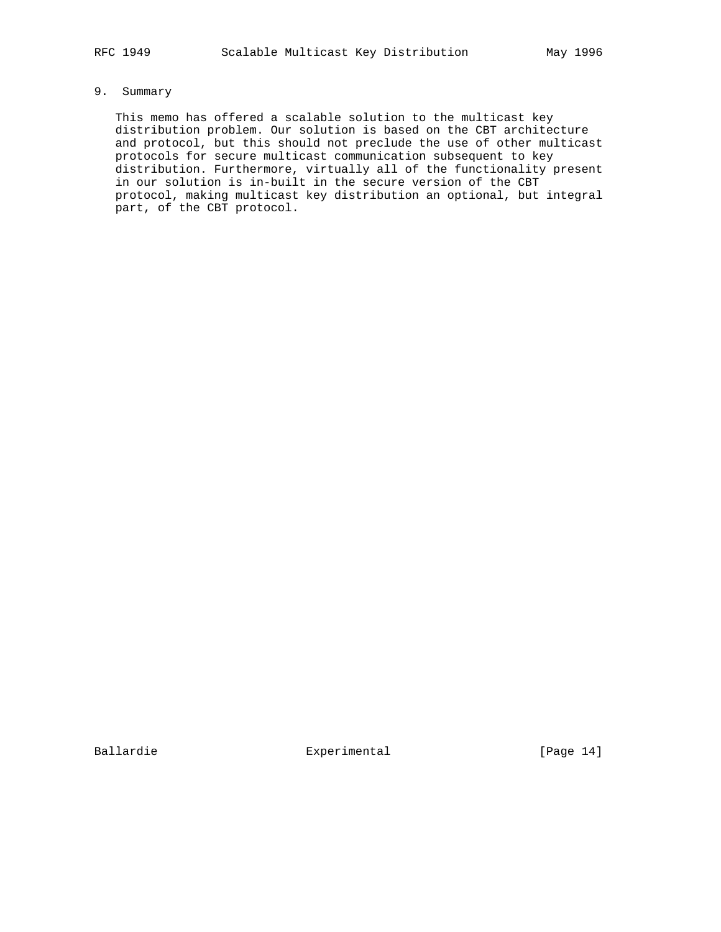# 9. Summary

 This memo has offered a scalable solution to the multicast key distribution problem. Our solution is based on the CBT architecture and protocol, but this should not preclude the use of other multicast protocols for secure multicast communication subsequent to key distribution. Furthermore, virtually all of the functionality present in our solution is in-built in the secure version of the CBT protocol, making multicast key distribution an optional, but integral part, of the CBT protocol.

Ballardie Experimental [Page 14]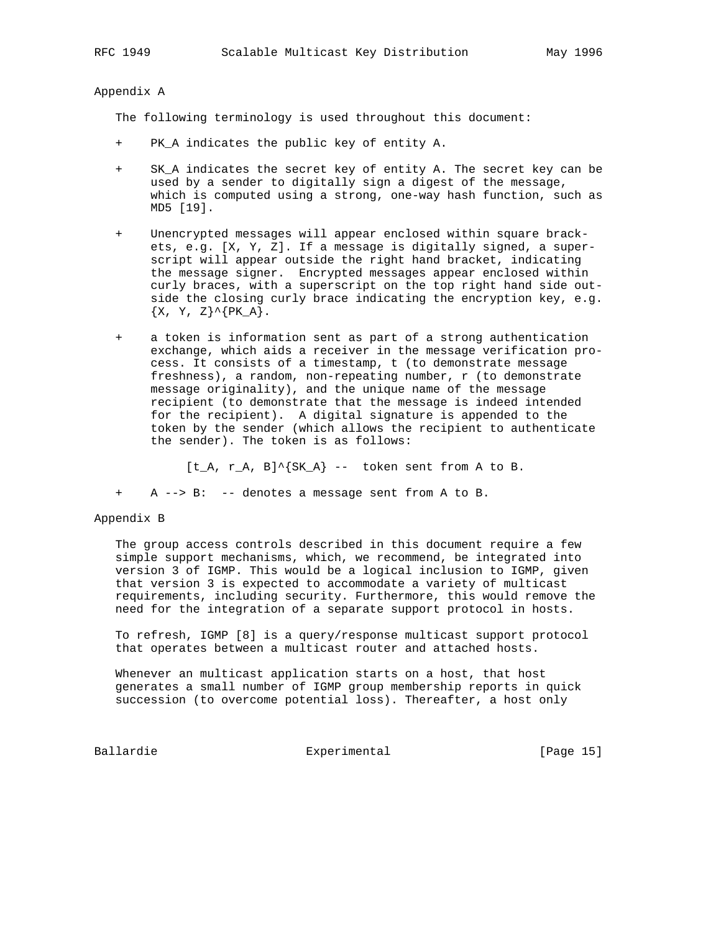Appendix A

The following terminology is used throughout this document:

- + PK\_A indicates the public key of entity A.
- + SK\_A indicates the secret key of entity A. The secret key can be used by a sender to digitally sign a digest of the message, which is computed using a strong, one-way hash function, such as MD5 [19].
- + Unencrypted messages will appear enclosed within square brack ets, e.g. [X, Y, Z]. If a message is digitally signed, a super script will appear outside the right hand bracket, indicating the message signer. Encrypted messages appear enclosed within curly braces, with a superscript on the top right hand side out side the closing curly brace indicating the encryption key, e.g.  $\{X, Y, Z\}^{\wedge}\{PK_A\}.$
- + a token is information sent as part of a strong authentication exchange, which aids a receiver in the message verification pro cess. It consists of a timestamp, t (to demonstrate message freshness), a random, non-repeating number, r (to demonstrate message originality), and the unique name of the message recipient (to demonstrate that the message is indeed intended for the recipient). A digital signature is appended to the token by the sender (which allows the recipient to authenticate the sender). The token is as follows:

 $[t_A, r_A, B]^{\wedge}$   $\{SK_A\}$  -- token sent from A to B.

A --> B: -- denotes a message sent from A to B.

#### Appendix B

 The group access controls described in this document require a few simple support mechanisms, which, we recommend, be integrated into version 3 of IGMP. This would be a logical inclusion to IGMP, given that version 3 is expected to accommodate a variety of multicast requirements, including security. Furthermore, this would remove the need for the integration of a separate support protocol in hosts.

 To refresh, IGMP [8] is a query/response multicast support protocol that operates between a multicast router and attached hosts.

 Whenever an multicast application starts on a host, that host generates a small number of IGMP group membership reports in quick succession (to overcome potential loss). Thereafter, a host only

Ballardie Experimental [Page 15]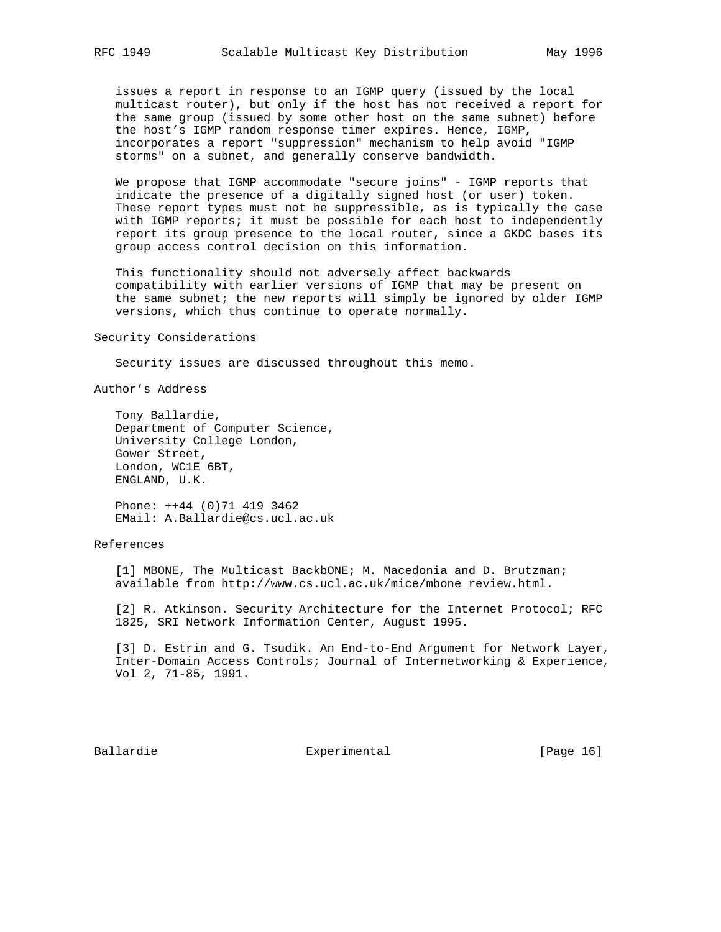issues a report in response to an IGMP query (issued by the local multicast router), but only if the host has not received a report for the same group (issued by some other host on the same subnet) before the host's IGMP random response timer expires. Hence, IGMP, incorporates a report "suppression" mechanism to help avoid "IGMP storms" on a subnet, and generally conserve bandwidth.

 We propose that IGMP accommodate "secure joins" - IGMP reports that indicate the presence of a digitally signed host (or user) token. These report types must not be suppressible, as is typically the case with IGMP reports; it must be possible for each host to independently report its group presence to the local router, since a GKDC bases its group access control decision on this information.

 This functionality should not adversely affect backwards compatibility with earlier versions of IGMP that may be present on the same subnet; the new reports will simply be ignored by older IGMP versions, which thus continue to operate normally.

Security Considerations

Security issues are discussed throughout this memo.

Author's Address

 Tony Ballardie, Department of Computer Science, University College London, Gower Street, London, WC1E 6BT, ENGLAND, U.K.

 Phone: ++44 (0)71 419 3462 EMail: A.Ballardie@cs.ucl.ac.uk

#### References

 [1] MBONE, The Multicast BackbONE; M. Macedonia and D. Brutzman; available from http://www.cs.ucl.ac.uk/mice/mbone\_review.html.

 [2] R. Atkinson. Security Architecture for the Internet Protocol; RFC 1825, SRI Network Information Center, August 1995.

 [3] D. Estrin and G. Tsudik. An End-to-End Argument for Network Layer, Inter-Domain Access Controls; Journal of Internetworking & Experience, Vol 2, 71-85, 1991.

Ballardie 16 Experimental Experimental [Page 16]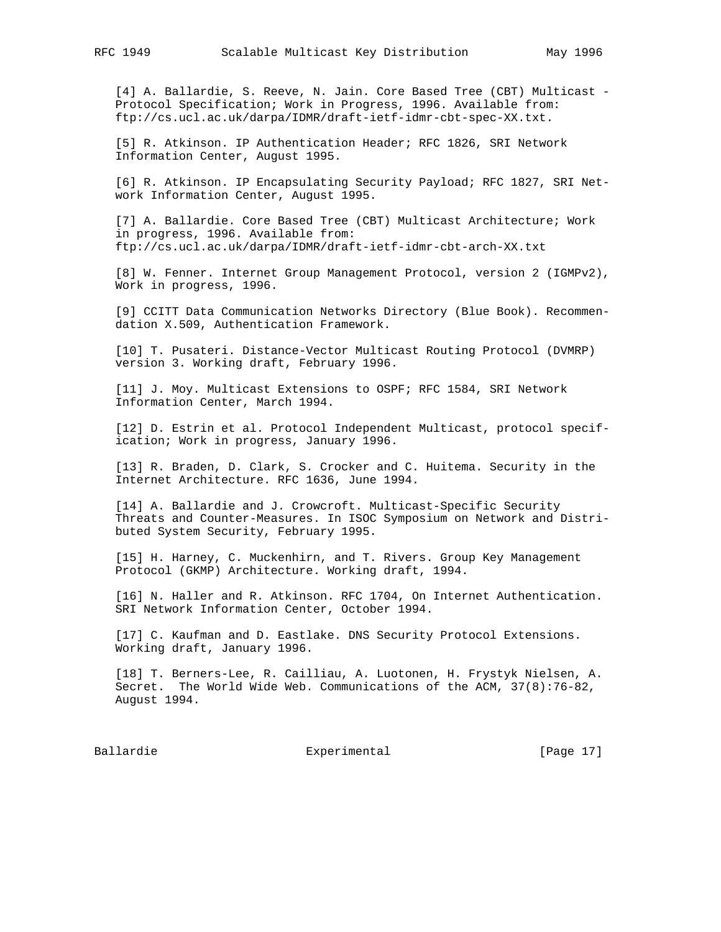[4] A. Ballardie, S. Reeve, N. Jain. Core Based Tree (CBT) Multicast - Protocol Specification; Work in Progress, 1996. Available from: ftp://cs.ucl.ac.uk/darpa/IDMR/draft-ietf-idmr-cbt-spec-XX.txt.

 [5] R. Atkinson. IP Authentication Header; RFC 1826, SRI Network Information Center, August 1995.

 [6] R. Atkinson. IP Encapsulating Security Payload; RFC 1827, SRI Net work Information Center, August 1995.

 [7] A. Ballardie. Core Based Tree (CBT) Multicast Architecture; Work in progress, 1996. Available from: ftp://cs.ucl.ac.uk/darpa/IDMR/draft-ietf-idmr-cbt-arch-XX.txt

 [8] W. Fenner. Internet Group Management Protocol, version 2 (IGMPv2), Work in progress, 1996.

 [9] CCITT Data Communication Networks Directory (Blue Book). Recommen dation X.509, Authentication Framework.

 [10] T. Pusateri. Distance-Vector Multicast Routing Protocol (DVMRP) version 3. Working draft, February 1996.

 [11] J. Moy. Multicast Extensions to OSPF; RFC 1584, SRI Network Information Center, March 1994.

 [12] D. Estrin et al. Protocol Independent Multicast, protocol specif ication; Work in progress, January 1996.

 [13] R. Braden, D. Clark, S. Crocker and C. Huitema. Security in the Internet Architecture. RFC 1636, June 1994.

 [14] A. Ballardie and J. Crowcroft. Multicast-Specific Security Threats and Counter-Measures. In ISOC Symposium on Network and Distri buted System Security, February 1995.

 [15] H. Harney, C. Muckenhirn, and T. Rivers. Group Key Management Protocol (GKMP) Architecture. Working draft, 1994.

 [16] N. Haller and R. Atkinson. RFC 1704, On Internet Authentication. SRI Network Information Center, October 1994.

 [17] C. Kaufman and D. Eastlake. DNS Security Protocol Extensions. Working draft, January 1996.

 [18] T. Berners-Lee, R. Cailliau, A. Luotonen, H. Frystyk Nielsen, A. Secret. The World Wide Web. Communications of the ACM, 37(8):76-82, August 1994.

Ballardie Experimental [Page 17]